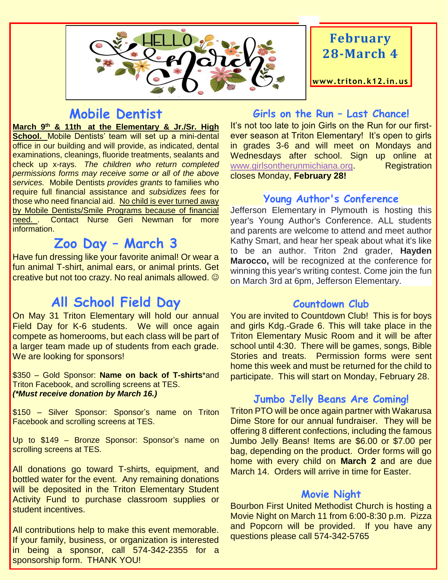

## **February 28-March 4**

**www. triton.k12.in.us**

## **Mobile Dentist**

**March 9th & 11th at the Elementary & Jr./Sr. High School.** Mobile Dentists' team will set up a mini-dental office in our building and will provide, as indicated, dental examinations, cleanings, fluoride treatments, sealants and check up x-rays. *The children who return completed permissions forms may receive some or all of the above services.* Mobile Dentists *provides grants* to families who require full financial assistance and *subsidizes fees* for those who need financial aid. No child is ever turned away by Mobile Dentists/Smile Programs because of financial need. . Contact Nurse Geri Newman for more information.

## **Zoo Day – March 3**

Have fun dressing like your favorite animal! Or wear a fun animal T-shirt, animal ears, or animal prints. Get creative but not too crazy. No real animals allowed.  $\odot$ 

## **All School Field Day**

On May 31 Triton Elementary will hold our annual Field Day for K-6 students. We will once again compete as homerooms, but each class will be part of a larger team made up of students from each grade. We are looking for sponsors!

\$350 – Gold Sponsor: **Name on back of T-shirts**\*and Triton Facebook, and scrolling screens at TES. *(\*Must receive donation by March 16.)*

\$150 – Silver Sponsor: Sponsor's name on Triton Facebook and scrolling screens at TES.

Up to \$149 – Bronze Sponsor: Sponsor's name on scrolling screens at TES.

All donations go toward T-shirts, equipment, and bottled water for the event. Any remaining donations will be deposited in the Triton Elementary Student Activity Fund to purchase classroom supplies or student incentives.

All contributions help to make this event memorable. If your family, business, or organization is interested in being a sponsor, call 574-342-2355 for a sponsorship form. THANK YOU!

#### **Girls on the Run – Last Chance!**

It's not too late to join Girls on the Run for our firstever season at Triton Elementary! It's open to girls in grades 3-6 and will meet on Mondays and Wednesdays after school. Sign up online at [www.girlsontherunmichiana.org.](http://www.girlsontherunmichiana.org/) Registration closes Monday, **February 28!**

#### **Young Author's Conference**

Jefferson Elementary in Plymouth is hosting this year's Young Author's Conference. ALL students and parents are welcome to attend and meet author Kathy Smart, and hear her speak about what it's like to be an author. Triton 2nd grader, **Hayden Marocco,** will be recognized at the conference for winning this year's writing contest. Come join the fun on March 3rd at 6pm, Jefferson Elementary.

#### **Countdown Club**

You are invited to Countdown Club! This is for boys and girls Kdg.-Grade 6. This will take place in the Triton Elementary Music Room and it will be after school until 4:30. There will be games, songs, Bible Stories and treats. Permission forms were sent home this week and must be returned for the child to participate. This will start on Monday, February 28.

#### **Jumbo Jelly Beans Are Coming!**

Triton PTO will be once again partner with Wakarusa Dime Store for our annual fundraiser. They will be offering 8 different confections, including the famous Jumbo Jelly Beans! Items are \$6.00 or \$7.00 per bag, depending on the product. Order forms will go home with every child on **March 2** and are due March 14. Orders will arrive in time for Easter.

#### **Movie Night**

Bourbon First United Methodist Church is hosting a Movie Night on March 11 from 6:00-8:30 p.m. Pizza and Popcorn will be provided. If you have any questions please call 574-342-5765